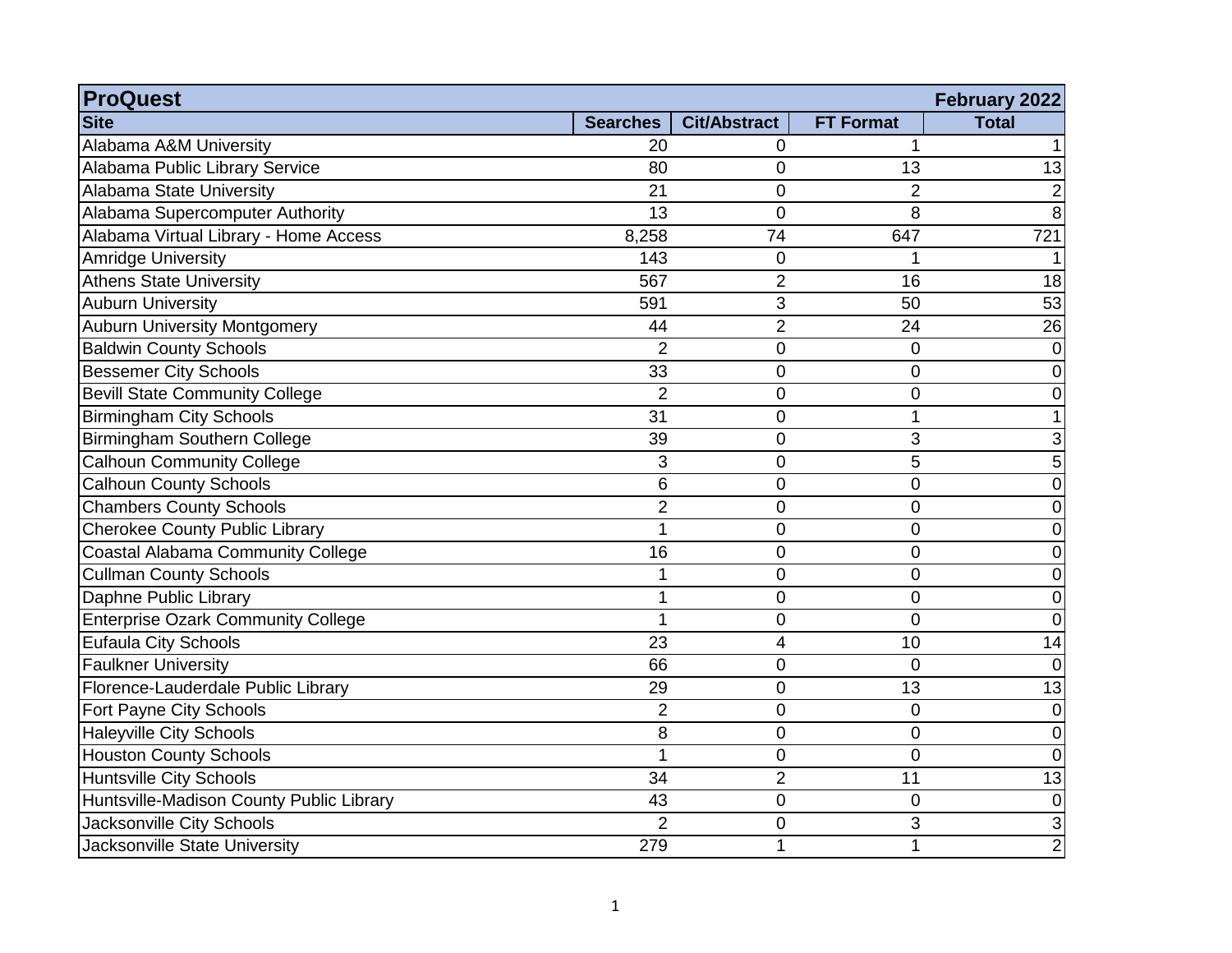| <b>ProQuest</b>                           |                 |                     |                  | February 2022   |
|-------------------------------------------|-----------------|---------------------|------------------|-----------------|
| <b>Site</b>                               | <b>Searches</b> | <b>Cit/Abstract</b> | <b>FT Format</b> | <b>Total</b>    |
| Alabama A&M University                    | 20              | 0                   | 1                |                 |
| Alabama Public Library Service            | 80              | 0                   | 13               | $\overline{13}$ |
| Alabama State University                  | 21              | 0                   | $\overline{2}$   | $\overline{2}$  |
| Alabama Supercomputer Authority           | 13              | 0                   | 8                | 8               |
| Alabama Virtual Library - Home Access     | 8,258           | 74                  | 647              | 721             |
| <b>Amridge University</b>                 | 143             | 0                   | 1                |                 |
| <b>Athens State University</b>            | 567             | $\overline{2}$      | 16               | 18              |
| <b>Auburn University</b>                  | 591             | 3                   | 50               | 53              |
| <b>Auburn University Montgomery</b>       | 44              | $\overline{2}$      | 24               | $\overline{26}$ |
| <b>Baldwin County Schools</b>             | $\overline{2}$  | 0                   | 0                | $\mathbf 0$     |
| <b>Bessemer City Schools</b>              | 33              | 0                   | 0                | 0               |
| <b>Bevill State Community College</b>     | $\overline{2}$  | 0                   | 0                | 0               |
| <b>Birmingham City Schools</b>            | 31              | 0                   | 1                |                 |
| Birmingham Southern College               | 39              | 0                   | 3                | 3               |
| <b>Calhoun Community College</b>          | 3               | 0                   | 5                | 5               |
| <b>Calhoun County Schools</b>             | 6               | 0                   | 0                | $\mathbf 0$     |
| <b>Chambers County Schools</b>            | $\overline{2}$  | 0                   | 0                | 0               |
| <b>Cherokee County Public Library</b>     | $\overline{1}$  | $\overline{0}$      | 0                | 0               |
| <b>Coastal Alabama Community College</b>  | 16              | 0                   | 0                | 0               |
| <b>Cullman County Schools</b>             | 1               | 0                   | 0                | 0               |
| Daphne Public Library                     | 1               | 0                   | 0                | 0               |
| <b>Enterprise Ozark Community College</b> | 1               | 0                   | 0                | 0               |
| <b>Eufaula City Schools</b>               | 23              | 4                   | 10               | 14              |
| <b>Faulkner University</b>                | 66              | 0                   | $\overline{0}$   | $\overline{0}$  |
| Florence-Lauderdale Public Library        | 29              | 0                   | 13               | 13              |
| Fort Payne City Schools                   | $\overline{2}$  | 0                   | 0                | 0               |
| <b>Haleyville City Schools</b>            | 8               | 0                   | 0                | 0               |
| <b>Houston County Schools</b>             | 1               | 0                   | 0                | $\overline{0}$  |
| <b>Huntsville City Schools</b>            | 34              | $\overline{2}$      | 11               | 13              |
| Huntsville-Madison County Public Library  | 43              | $\overline{0}$      | 0                | $\mathbf 0$     |
| <b>Jacksonville City Schools</b>          | $\overline{2}$  | 0                   | 3                | 3               |
| Jacksonville State University             | 279             | 1                   | 1                | $\overline{2}$  |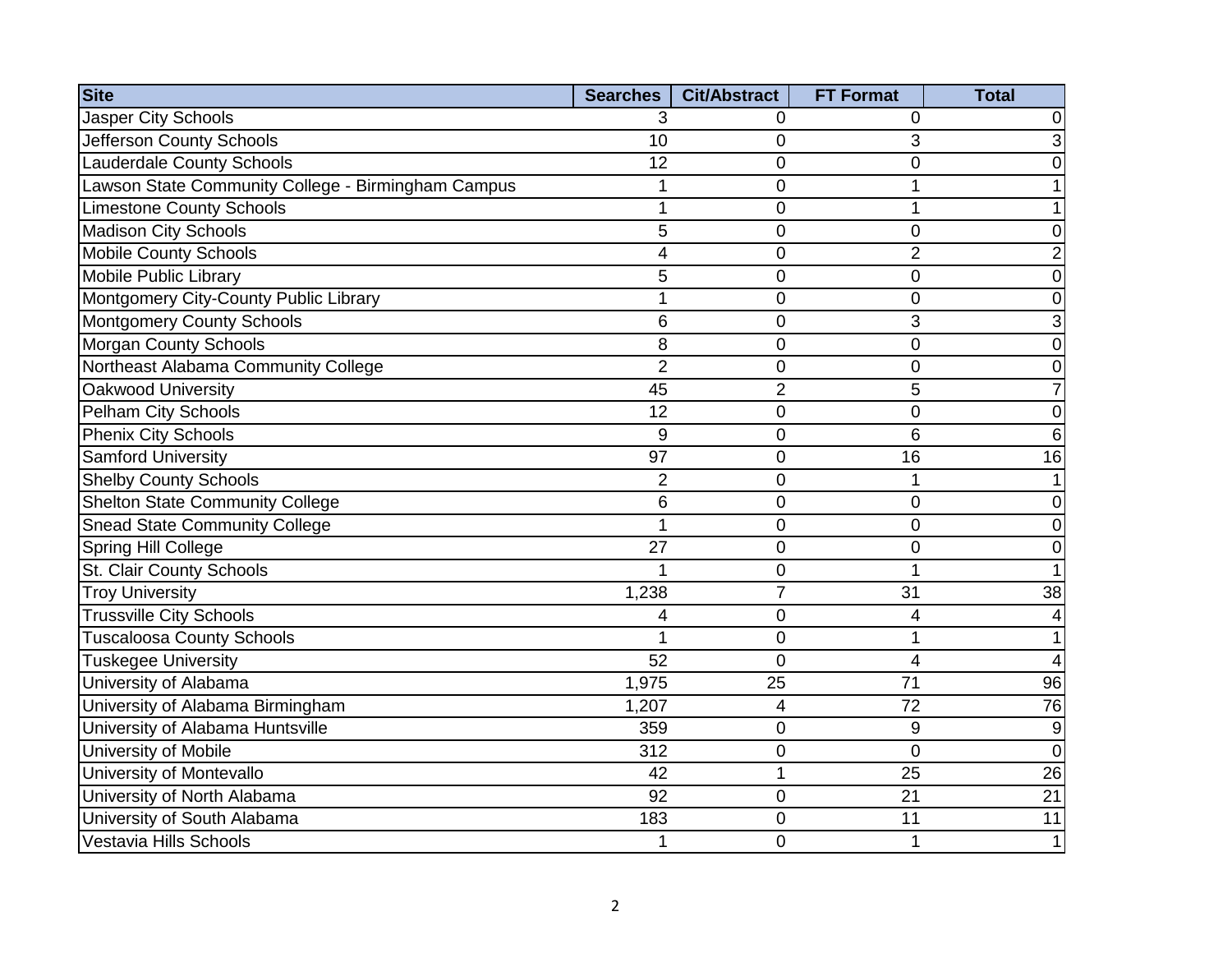| <b>Site</b>                                        | <b>Searches</b> | <b>Cit/Abstract</b> | <b>FT Format</b> | <b>Total</b>    |
|----------------------------------------------------|-----------------|---------------------|------------------|-----------------|
| <b>Jasper City Schools</b>                         | 3               | 0                   | 0                |                 |
| Jefferson County Schools                           | 10              | 0                   | 3                |                 |
| <b>Lauderdale County Schools</b>                   | 12              | $\overline{0}$      | 0                |                 |
| Lawson State Community College - Birmingham Campus | 1               | $\overline{0}$      | 1                |                 |
| <b>Limestone County Schools</b>                    | 1               | $\mathbf 0$         | 1                |                 |
| <b>Madison City Schools</b>                        | 5               | 0                   | 0                |                 |
| <b>Mobile County Schools</b>                       | 4               | $\mathbf 0$         | $\overline{2}$   |                 |
| <b>Mobile Public Library</b>                       | 5               | 0                   | 0                | 0               |
| Montgomery City-County Public Library              | 1               | $\overline{0}$      | 0                | 0               |
| <b>Montgomery County Schools</b>                   | 6               | $\mathbf 0$         | 3                | 3               |
| <b>Morgan County Schools</b>                       | 8               | 0                   | 0                | 0               |
| Northeast Alabama Community College                | $\overline{2}$  | $\mathsf 0$         | 0                | 0               |
| Oakwood University                                 | 45              | $\overline{2}$      | 5                |                 |
| <b>Pelham City Schools</b>                         | 12              | 0                   | 0                | 0               |
| <b>Phenix City Schools</b>                         | 9               | $\mathsf 0$         | 6                | 6               |
| Samford University                                 | 97              | $\mathbf 0$         | 16               | 16              |
| <b>Shelby County Schools</b>                       | $\overline{2}$  | 0                   | 1                |                 |
| <b>Shelton State Community College</b>             | 6               | $\overline{0}$      | 0                | 0               |
| <b>Snead State Community College</b>               | 1               | 0                   | 0                | 0               |
| <b>Spring Hill College</b>                         | 27              | $\mathbf 0$         | 0                | 0               |
| St. Clair County Schools                           | 1               | 0                   | 1                |                 |
| <b>Troy University</b>                             | 1,238           | $\overline{7}$      | 31               | 38              |
| <b>Trussville City Schools</b>                     | 4               | 0                   | 4                |                 |
| <b>Tuscaloosa County Schools</b>                   | 1               | $\overline{0}$      | 1                |                 |
| <b>Tuskegee University</b>                         | 52              | $\mathbf 0$         | 4                |                 |
| University of Alabama                              | 1,975           | 25                  | 71               | $\overline{96}$ |
| University of Alabama Birmingham                   | 1,207           | $\overline{4}$      | 72               | 76              |
| University of Alabama Huntsville                   | 359             | 0                   | 9                | 9               |
| University of Mobile                               | 312             | $\mathbf 0$         | $\overline{0}$   | $\Omega$        |
| University of Montevallo                           | 42              | 1                   | 25               | 26              |
| University of North Alabama                        | $\overline{92}$ | $\mathbf 0$         | 21               | $\overline{21}$ |
| University of South Alabama                        | 183             | 0                   | 11               | 11              |
| Vestavia Hills Schools                             | 1               | $\mathbf 0$         | $\mathbf 1$      | $\mathbf{1}$    |